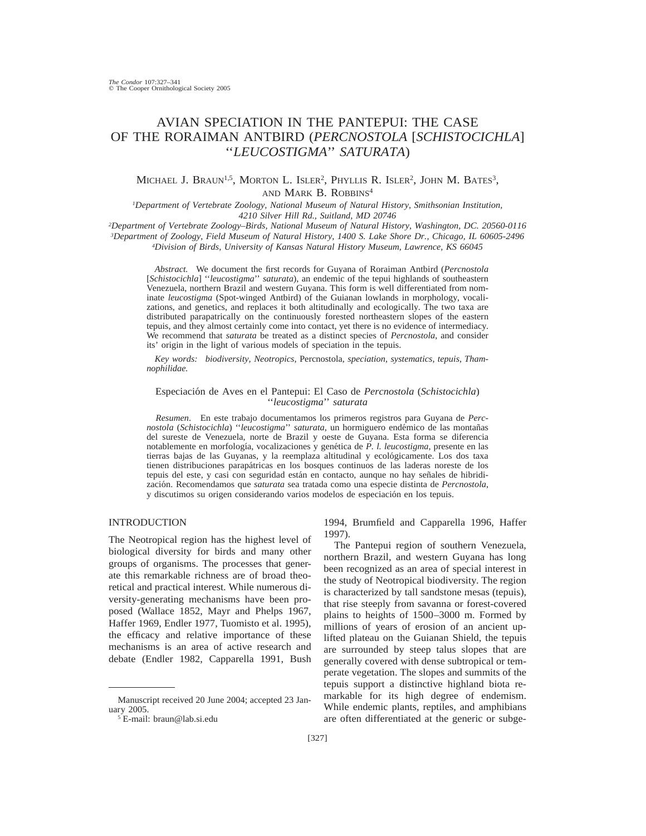# AVIAN SPECIATION IN THE PANTEPUI: THE CASE OF THE RORAIMAN ANTBIRD (*PERCNOSTOLA* [*SCHISTOCICHLA*] ''*LEUCOSTIGMA*'' *SATURATA*)

# MICHAEL J. BRAUN<sup>1,5</sup>, MORTON L. ISLER<sup>2</sup>, PHYLLIS R. ISLER<sup>2</sup>, JOHN M. BATES<sup>3</sup>, AND MARK B. ROBBINS<sup>4</sup>

*1Department of Vertebrate Zoology, National Museum of Natural History, Smithsonian Institution, 4210 Silver Hill Rd., Suitland, MD 20746*

*2Department of Vertebrate Zoology–Birds, National Museum of Natural History, Washington, DC. 20560-0116*

*3Department of Zoology, Field Museum of Natural History, 1400 S. Lake Shore Dr., Chicago, IL 60605-2496*

*4Division of Birds, University of Kansas Natural History Museum, Lawrence, KS 66045*

*Abstract.* We document the first records for Guyana of Roraiman Antbird (*Percnostola* [*Schistocichla*] ''*leucostigma*'' *saturata*), an endemic of the tepui highlands of southeastern Venezuela, northern Brazil and western Guyana. This form is well differentiated from nominate *leucostigma* (Spot-winged Antbird) of the Guianan lowlands in morphology, vocalizations, and genetics, and replaces it both altitudinally and ecologically. The two taxa are distributed parapatrically on the continuously forested northeastern slopes of the eastern tepuis, and they almost certainly come into contact, yet there is no evidence of intermediacy. We recommend that *saturata* be treated as a distinct species of *Percnostola*, and consider its' origin in the light of various models of speciation in the tepuis.

*Key words: biodiversity, Neotropics,* Percnostola*, speciation, systematics, tepuis, Thamnophilidae.*

## Especiacio´n de Aves en el Pantepui: El Caso de *Percnostola* (*Schistocichla*) ''*leucostigma*'' *saturata*

*Resumen*. En este trabajo documentamos los primeros registros para Guyana de *Percnostola* (*Schistocichla*) "*leucostigma*" *saturata*, un hormiguero endémico de las montañas del sureste de Venezuela, norte de Brazil y oeste de Guyana. Esta forma se diferencia notablemente en morfología, vocalizaciones y genética de P. l. leucostigma, presente en las tierras bajas de las Guyanas, y la reemplaza altitudinal y ecológicamente. Los dos taxa tienen distribuciones parapa´tricas en los bosques continuos de las laderas noreste de los tepuis del este, y casi con seguridad están en contacto, aunque no hay señales de hibridizacio´n. Recomendamos que *saturata* sea tratada como una especie distinta de *Percnostola*, y discutimos su origen considerando varios modelos de especiación en los tepuis.

## INTRODUCTION

The Neotropical region has the highest level of biological diversity for birds and many other groups of organisms. The processes that generate this remarkable richness are of broad theoretical and practical interest. While numerous diversity-generating mechanisms have been proposed (Wallace 1852, Mayr and Phelps 1967, Haffer 1969, Endler 1977, Tuomisto et al. 1995), the efficacy and relative importance of these mechanisms is an area of active research and debate (Endler 1982, Capparella 1991, Bush

1994, Brumfield and Capparella 1996, Haffer 1997).

The Pantepui region of southern Venezuela, northern Brazil, and western Guyana has long been recognized as an area of special interest in the study of Neotropical biodiversity. The region is characterized by tall sandstone mesas (tepuis), that rise steeply from savanna or forest-covered plains to heights of 1500–3000 m. Formed by millions of years of erosion of an ancient uplifted plateau on the Guianan Shield, the tepuis are surrounded by steep talus slopes that are generally covered with dense subtropical or temperate vegetation. The slopes and summits of the tepuis support a distinctive highland biota remarkable for its high degree of endemism. While endemic plants, reptiles, and amphibians are often differentiated at the generic or subge-

Manuscript received 20 June 2004; accepted 23 January 2005.

<sup>5</sup> E-mail: braun@lab.si.edu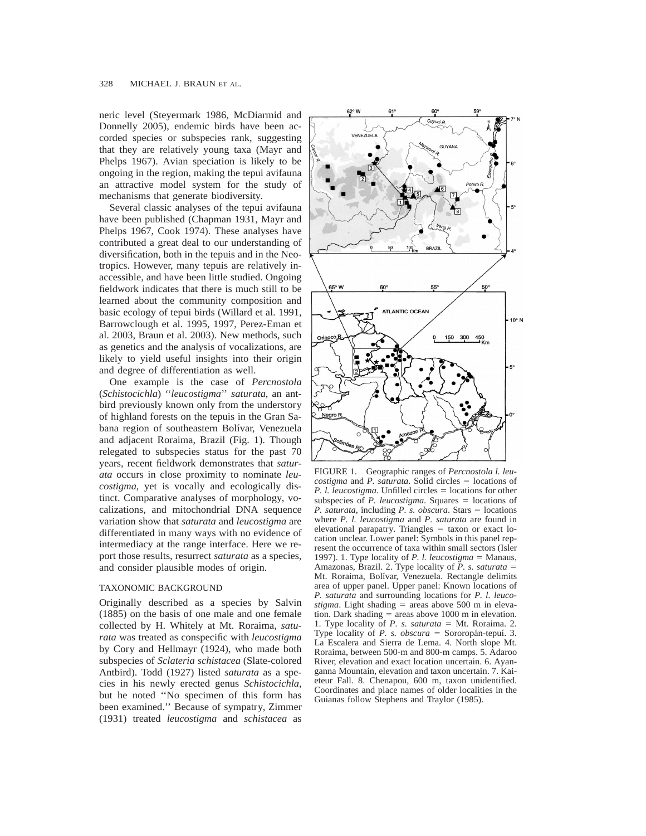neric level (Steyermark 1986, McDiarmid and Donnelly 2005), endemic birds have been accorded species or subspecies rank, suggesting that they are relatively young taxa (Mayr and Phelps 1967). Avian speciation is likely to be ongoing in the region, making the tepui avifauna an attractive model system for the study of mechanisms that generate biodiversity.

Several classic analyses of the tepui avifauna have been published (Chapman 1931, Mayr and Phelps 1967, Cook 1974). These analyses have contributed a great deal to our understanding of diversification, both in the tepuis and in the Neotropics. However, many tepuis are relatively inaccessible, and have been little studied. Ongoing fieldwork indicates that there is much still to be learned about the community composition and basic ecology of tepui birds (Willard et al. 1991, Barrowclough et al. 1995, 1997, Perez-Eman et al. 2003, Braun et al. 2003). New methods, such as genetics and the analysis of vocalizations, are likely to yield useful insights into their origin and degree of differentiation as well.

One example is the case of *Percnostola* (*Schistocichla*) ''*leucostigma*'' *saturata*, an antbird previously known only from the understory of highland forests on the tepuis in the Gran Sabana region of southeastern Bolívar, Venezuela and adjacent Roraima, Brazil (Fig. 1). Though relegated to subspecies status for the past 70 years, recent fieldwork demonstrates that *saturata* occurs in close proximity to nominate *leucostigma*, yet is vocally and ecologically distinct. Comparative analyses of morphology, vocalizations, and mitochondrial DNA sequence variation show that *saturata* and *leucostigma* are differentiated in many ways with no evidence of intermediacy at the range interface. Here we report those results, resurrect *saturata* as a species, and consider plausible modes of origin.

#### TAXONOMIC BACKGROUND

Originally described as a species by Salvin (1885) on the basis of one male and one female collected by H. Whitely at Mt. Roraima, *saturata* was treated as conspecific with *leucostigma* by Cory and Hellmayr (1924), who made both subspecies of *Sclateria schistacea* (Slate-colored Antbird). Todd (1927) listed *saturata* as a species in his newly erected genus *Schistocichla*, but he noted ''No specimen of this form has been examined.'' Because of sympatry, Zimmer (1931) treated *leucostigma* and *schistacea* as



FIGURE 1. Geographic ranges of *Percnostola l. leucostigma* and *P. saturata*. Solid circles = locations of *P. l. leucostigma*. Unfilled circles = locations for other subspecies of  $P$ . *leucostigma*. Squares  $=$  locations of *P. saturata*, including *P. s. obscura*. Stars = locations where *P. l. leucostigma* and *P. saturata* are found in elevational parapatry. Triangles  $=$  taxon or exact location unclear. Lower panel: Symbols in this panel represent the occurrence of taxa within small sectors (Isler 1997). 1. Type locality of *P. l. leucostigma*  $=$  Manaus, Amazonas, Brazil. 2. Type locality of *P. s. saturata* = Mt. Roraima, Bolívar, Venezuela. Rectangle delimits area of upper panel. Upper panel: Known locations of *P. saturata* and surrounding locations for *P. l. leucostigma*. Light shading  $=$  areas above 500 m in elevation. Dark shading  $=$  areas above 1000 m in elevation. 1. Type locality of  $P$ . s. saturata = Mt. Roraima. 2. Type locality of *P. s. obscura* = Sororopán-tepuí. 3. La Escalera and Sierra de Lema. 4. North slope Mt. Roraima, between 500-m and 800-m camps. 5. Adaroo River, elevation and exact location uncertain. 6. Ayanganna Mountain, elevation and taxon uncertain. 7. Kaieteur Fall. 8. Chenapou, 600 m, taxon unidentified. Coordinates and place names of older localities in the Guianas follow Stephens and Traylor (1985).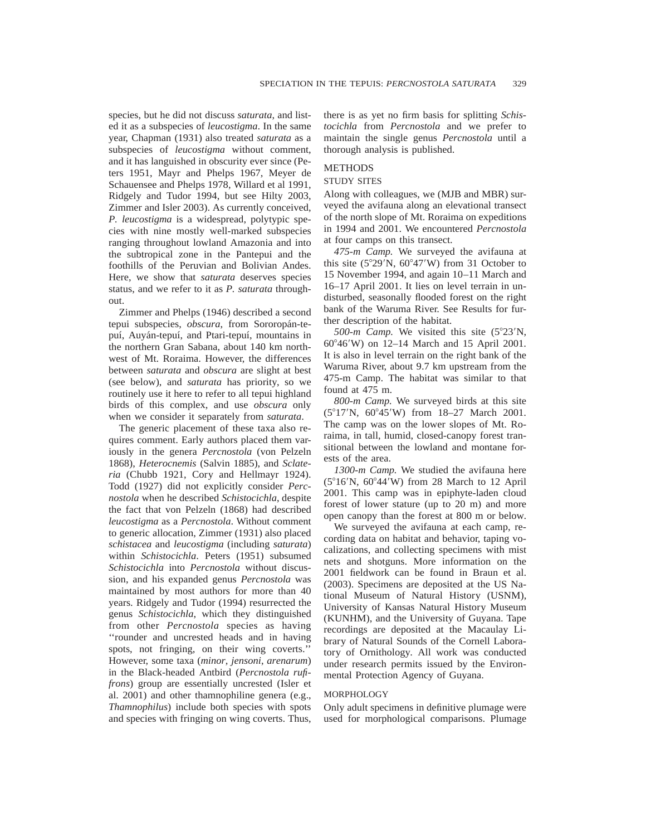species, but he did not discuss *saturata*, and listed it as a subspecies of *leucostigma*. In the same year, Chapman (1931) also treated *saturata* as a subspecies of *leucostigma* without comment, and it has languished in obscurity ever since (Peters 1951, Mayr and Phelps 1967, Meyer de Schauensee and Phelps 1978, Willard et al 1991, Ridgely and Tudor 1994, but see Hilty 2003, Zimmer and Isler 2003). As currently conceived, *P. leucostigma* is a widespread, polytypic species with nine mostly well-marked subspecies ranging throughout lowland Amazonia and into the subtropical zone in the Pantepui and the foothills of the Peruvian and Bolivian Andes. Here, we show that *saturata* deserves species status, and we refer to it as *P. saturata* throughout.

Zimmer and Phelps (1946) described a second tepui subspecies, *obscura*, from Sororopán-tepuí, Auyán-tepuí, and Ptari-tepuí, mountains in the northern Gran Sabana, about 140 km northwest of Mt. Roraima. However, the differences between *saturata* and *obscura* are slight at best (see below), and *saturata* has priority, so we routinely use it here to refer to all tepui highland birds of this complex, and use *obscura* only when we consider it separately from *saturata*.

The generic placement of these taxa also requires comment. Early authors placed them variously in the genera *Percnostola* (von Pelzeln 1868), *Heterocnemis* (Salvin 1885), and *Sclateria* (Chubb 1921, Cory and Hellmayr 1924). Todd (1927) did not explicitly consider *Percnostola* when he described *Schistocichla*, despite the fact that von Pelzeln (1868) had described *leucostigma* as a *Percnostola*. Without comment to generic allocation, Zimmer (1931) also placed *schistacea* and *leucostigma* (including *saturata*) within *Schistocichla*. Peters (1951) subsumed *Schistocichla* into *Percnostola* without discussion, and his expanded genus *Percnostola* was maintained by most authors for more than 40 years. Ridgely and Tudor (1994) resurrected the genus *Schistocichla*, which they distinguished from other *Percnostola* species as having ''rounder and uncrested heads and in having spots, not fringing, on their wing coverts.'' However, some taxa (*minor*, *jensoni*, *arenarum*) in the Black-headed Antbird (*Percnostola rufifrons*) group are essentially uncrested (Isler et al. 2001) and other thamnophiline genera (e.g., *Thamnophilus*) include both species with spots and species with fringing on wing coverts. Thus, there is as yet no firm basis for splitting *Schistocichla* from *Percnostola* and we prefer to maintain the single genus *Percnostola* until a thorough analysis is published.

## METHODS

### STUDY SITES

Along with colleagues, we (MJB and MBR) surveyed the avifauna along an elevational transect of the north slope of Mt. Roraima on expeditions in 1994 and 2001. We encountered *Percnostola* at four camps on this transect.

*475-m Camp.* We surveyed the avifauna at this site  $(5^{\circ}29'N, 60^{\circ}47'W)$  from 31 October to 15 November 1994, and again 10–11 March and 16–17 April 2001. It lies on level terrain in undisturbed, seasonally flooded forest on the right bank of the Waruma River. See Results for further description of the habitat.

*500-m Camp*. We visited this site (5°23'N,  $60^{\circ}46'$ W) on 12–14 March and 15 April 2001. It is also in level terrain on the right bank of the Waruma River, about 9.7 km upstream from the 475-m Camp. The habitat was similar to that found at 475 m.

*800-m Camp.* We surveyed birds at this site  $(5^{\circ}17^{\prime}N, 60^{\circ}45^{\prime}W)$  from 18–27 March 2001. The camp was on the lower slopes of Mt. Roraima, in tall, humid, closed-canopy forest transitional between the lowland and montane forests of the area.

*1300-m Camp.* We studied the avifauna here  $(5^{\circ}16'N, 60^{\circ}44'W)$  from 28 March to 12 April 2001. This camp was in epiphyte-laden cloud forest of lower stature (up to 20 m) and more open canopy than the forest at 800 m or below.

We surveyed the avifauna at each camp, recording data on habitat and behavior, taping vocalizations, and collecting specimens with mist nets and shotguns. More information on the 2001 fieldwork can be found in Braun et al. (2003). Specimens are deposited at the US National Museum of Natural History (USNM), University of Kansas Natural History Museum (KUNHM), and the University of Guyana. Tape recordings are deposited at the Macaulay Library of Natural Sounds of the Cornell Laboratory of Ornithology. All work was conducted under research permits issued by the Environmental Protection Agency of Guyana.

#### MORPHOLOGY

Only adult specimens in definitive plumage were used for morphological comparisons. Plumage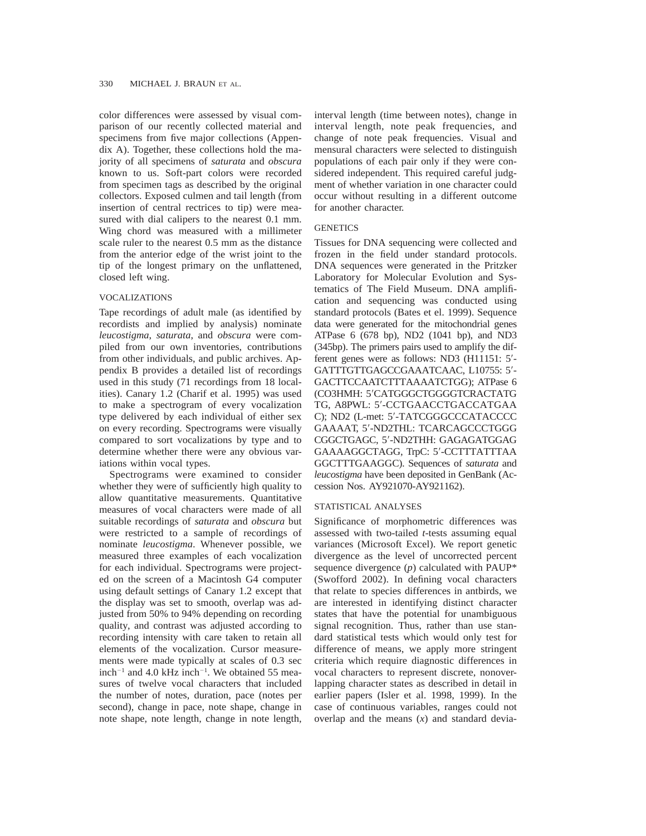color differences were assessed by visual comparison of our recently collected material and specimens from five major collections (Appendix A). Together, these collections hold the majority of all specimens of *saturata* and *obscura* known to us. Soft-part colors were recorded from specimen tags as described by the original collectors. Exposed culmen and tail length (from insertion of central rectrices to tip) were measured with dial calipers to the nearest 0.1 mm. Wing chord was measured with a millimeter scale ruler to the nearest 0.5 mm as the distance from the anterior edge of the wrist joint to the tip of the longest primary on the unflattened, closed left wing.

## VOCALIZATIONS

Tape recordings of adult male (as identified by recordists and implied by analysis) nominate *leucostigma*, *saturata*, and *obscura* were compiled from our own inventories, contributions from other individuals, and public archives. Appendix B provides a detailed list of recordings used in this study (71 recordings from 18 localities). Canary 1.2 (Charif et al. 1995) was used to make a spectrogram of every vocalization type delivered by each individual of either sex on every recording. Spectrograms were visually compared to sort vocalizations by type and to determine whether there were any obvious variations within vocal types.

Spectrograms were examined to consider whether they were of sufficiently high quality to allow quantitative measurements. Quantitative measures of vocal characters were made of all suitable recordings of *saturata* and *obscura* but were restricted to a sample of recordings of nominate *leucostigma*. Whenever possible, we measured three examples of each vocalization for each individual. Spectrograms were projected on the screen of a Macintosh G4 computer using default settings of Canary 1.2 except that the display was set to smooth, overlap was adjusted from 50% to 94% depending on recording quality, and contrast was adjusted according to recording intensity with care taken to retain all elements of the vocalization. Cursor measurements were made typically at scales of 0.3 sec inch<sup>-1</sup> and 4.0 kHz inch<sup>-1</sup>. We obtained 55 measures of twelve vocal characters that included the number of notes, duration, pace (notes per second), change in pace, note shape, change in note shape, note length, change in note length, interval length (time between notes), change in interval length, note peak frequencies, and change of note peak frequencies. Visual and mensural characters were selected to distinguish populations of each pair only if they were considered independent. This required careful judgment of whether variation in one character could occur without resulting in a different outcome for another character.

## **GENETICS**

Tissues for DNA sequencing were collected and frozen in the field under standard protocols. DNA sequences were generated in the Pritzker Laboratory for Molecular Evolution and Systematics of The Field Museum. DNA amplification and sequencing was conducted using standard protocols (Bates et el. 1999). Sequence data were generated for the mitochondrial genes ATPase 6 (678 bp), ND2 (1041 bp), and ND3 (345bp). The primers pairs used to amplify the different genes were as follows:  $ND3$  ( $H11151: 5'$ -GATTTGTTGAGCCGAAATCAAC, L10755: 5'-GACTTCCAATCTTTAAAATCTGG); ATPase 6 (CO3HMH: 5'CATGGGCTGGGGTCRACTATG TG, A8PWL: 5'-CCTGAACCTGACCATGAA C); ND2 (L-met: 5'-TATCGGGCCCATACCCC GAAAAT, 5'-ND2THL: TCARCAGCCCTGGG CGGCTGAGC, 5'-ND2THH: GAGAGATGGAG GAAAAGGCTAGG, TrpC: 5'-CCTTTATTTAA GGCTTTGAAGGC). Sequences of *saturata* and *leucostigma* have been deposited in GenBank (Accession Nos. AY921070-AY921162).

#### STATISTICAL ANALYSES

Significance of morphometric differences was assessed with two-tailed *t*-tests assuming equal variances (Microsoft Excel). We report genetic divergence as the level of uncorrected percent sequence divergence (*p*) calculated with PAUP\* (Swofford 2002). In defining vocal characters that relate to species differences in antbirds, we are interested in identifying distinct character states that have the potential for unambiguous signal recognition. Thus, rather than use standard statistical tests which would only test for difference of means, we apply more stringent criteria which require diagnostic differences in vocal characters to represent discrete, nonoverlapping character states as described in detail in earlier papers (Isler et al. 1998, 1999). In the case of continuous variables, ranges could not overlap and the means (*x*) and standard devia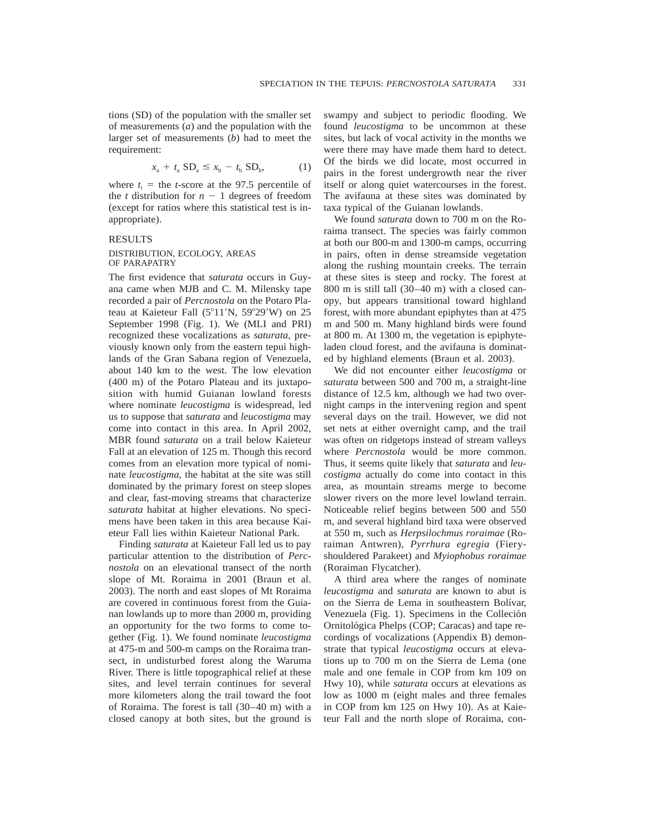tions (SD) of the population with the smaller set of measurements (*a*) and the population with the larger set of measurements (*b*) had to meet the requirement:

$$
x_a + t_a SD_a \le x_b - t_b SD_b, \tag{1}
$$

where  $t_i$  = the *t*-score at the 97.5 percentile of the *t* distribution for  $n - 1$  degrees of freedom (except for ratios where this statistical test is inappropriate).

## RESULTS

## DISTRIBUTION, ECOLOGY, AREAS OF PARAPATRY

The first evidence that *saturata* occurs in Guyana came when MJB and C. M. Milensky tape recorded a pair of *Percnostola* on the Potaro Plateau at Kaieteur Fall  $(5^{\circ}11'N, 59^{\circ}29'W)$  on 25 September 1998 (Fig. 1). We (MLI and PRI) recognized these vocalizations as *saturata*, previously known only from the eastern tepui highlands of the Gran Sabana region of Venezuela, about 140 km to the west. The low elevation (400 m) of the Potaro Plateau and its juxtaposition with humid Guianan lowland forests where nominate *leucostigma* is widespread, led us to suppose that *saturata* and *leucostigma* may come into contact in this area. In April 2002, MBR found *saturata* on a trail below Kaieteur Fall at an elevation of 125 m. Though this record comes from an elevation more typical of nominate *leucostigma*, the habitat at the site was still dominated by the primary forest on steep slopes and clear, fast-moving streams that characterize *saturata* habitat at higher elevations. No specimens have been taken in this area because Kaieteur Fall lies within Kaieteur National Park.

Finding *saturata* at Kaieteur Fall led us to pay particular attention to the distribution of *Percnostola* on an elevational transect of the north slope of Mt. Roraima in 2001 (Braun et al. 2003). The north and east slopes of Mt Roraima are covered in continuous forest from the Guianan lowlands up to more than 2000 m, providing an opportunity for the two forms to come together (Fig. 1). We found nominate *leucostigma* at 475-m and 500-m camps on the Roraima transect, in undisturbed forest along the Waruma River. There is little topographical relief at these sites, and level terrain continues for several more kilometers along the trail toward the foot of Roraima. The forest is tall (30–40 m) with a closed canopy at both sites, but the ground is swampy and subject to periodic flooding. We found *leucostigma* to be uncommon at these sites, but lack of vocal activity in the months we were there may have made them hard to detect. Of the birds we did locate, most occurred in pairs in the forest undergrowth near the river itself or along quiet watercourses in the forest. The avifauna at these sites was dominated by taxa typical of the Guianan lowlands.

We found *saturata* down to 700 m on the Roraima transect. The species was fairly common at both our 800-m and 1300-m camps, occurring in pairs, often in dense streamside vegetation along the rushing mountain creeks. The terrain at these sites is steep and rocky. The forest at 800 m is still tall (30–40 m) with a closed canopy, but appears transitional toward highland forest, with more abundant epiphytes than at 475 m and 500 m. Many highland birds were found at 800 m. At 1300 m, the vegetation is epiphyteladen cloud forest, and the avifauna is dominated by highland elements (Braun et al. 2003).

We did not encounter either *leucostigma* or *saturata* between 500 and 700 m, a straight-line distance of 12.5 km, although we had two overnight camps in the intervening region and spent several days on the trail. However, we did not set nets at either overnight camp, and the trail was often on ridgetops instead of stream valleys where *Percnostola* would be more common. Thus, it seems quite likely that *saturata* and *leucostigma* actually do come into contact in this area, as mountain streams merge to become slower rivers on the more level lowland terrain. Noticeable relief begins between 500 and 550 m, and several highland bird taxa were observed at 550 m, such as *Herpsilochmus roraimae* (Roraiman Antwren), *Pyrrhura egregia* (Fieryshouldered Parakeet) and *Myiophobus roraimae* (Roraiman Flycatcher).

A third area where the ranges of nominate *leucostigma* and *saturata* are known to abut is on the Sierra de Lema in southeastern Bolívar, Venezuela (Fig. 1). Specimens in the Colleción Ornitológica Phelps (COP; Caracas) and tape recordings of vocalizations (Appendix B) demonstrate that typical *leucostigma* occurs at elevations up to 700 m on the Sierra de Lema (one male and one female in COP from km 109 on Hwy 10), while *saturata* occurs at elevations as low as 1000 m (eight males and three females in COP from km 125 on Hwy 10). As at Kaieteur Fall and the north slope of Roraima, con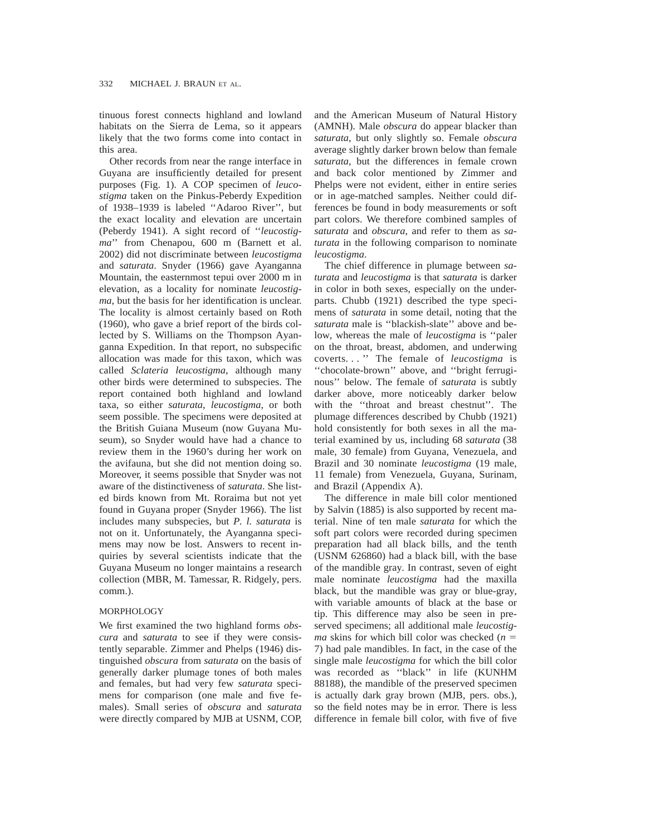tinuous forest connects highland and lowland habitats on the Sierra de Lema, so it appears likely that the two forms come into contact in this area.

Other records from near the range interface in Guyana are insufficiently detailed for present purposes (Fig. 1). A COP specimen of *leucostigma* taken on the Pinkus-Peberdy Expedition of 1938–1939 is labeled ''Adaroo River'', but the exact locality and elevation are uncertain (Peberdy 1941). A sight record of ''*leucostigma*'' from Chenapou, 600 m (Barnett et al. 2002) did not discriminate between *leucostigma* and *saturata*. Snyder (1966) gave Ayanganna Mountain, the easternmost tepui over 2000 m in elevation, as a locality for nominate *leucostigma*, but the basis for her identification is unclear. The locality is almost certainly based on Roth (1960), who gave a brief report of the birds collected by S. Williams on the Thompson Ayanganna Expedition. In that report, no subspecific allocation was made for this taxon, which was called *Sclateria leucostigma*, although many other birds were determined to subspecies. The report contained both highland and lowland taxa, so either *saturata*, *leucostigma*, or both seem possible. The specimens were deposited at the British Guiana Museum (now Guyana Museum), so Snyder would have had a chance to review them in the 1960's during her work on the avifauna, but she did not mention doing so. Moreover, it seems possible that Snyder was not aware of the distinctiveness of *saturata*. She listed birds known from Mt. Roraima but not yet found in Guyana proper (Snyder 1966). The list includes many subspecies, but *P. l. saturata* is not on it. Unfortunately, the Ayanganna specimens may now be lost. Answers to recent inquiries by several scientists indicate that the Guyana Museum no longer maintains a research collection (MBR, M. Tamessar, R. Ridgely, pers. comm.).

## MORPHOLOGY

We first examined the two highland forms *obscura* and *saturata* to see if they were consistently separable. Zimmer and Phelps (1946) distinguished *obscura* from *saturata* on the basis of generally darker plumage tones of both males and females, but had very few *saturata* specimens for comparison (one male and five females). Small series of *obscura* and *saturata* were directly compared by MJB at USNM, COP,

and the American Museum of Natural History (AMNH). Male *obscura* do appear blacker than *saturata*, but only slightly so. Female *obscura* average slightly darker brown below than female *saturata*, but the differences in female crown and back color mentioned by Zimmer and Phelps were not evident, either in entire series or in age-matched samples. Neither could differences be found in body measurements or soft part colors. We therefore combined samples of *saturata* and *obscura*, and refer to them as *saturata* in the following comparison to nominate *leucostigma*.

The chief difference in plumage between *saturata* and *leucostigma* is that *saturata* is darker in color in both sexes, especially on the underparts. Chubb (1921) described the type specimens of *saturata* in some detail, noting that the *saturata* male is ''blackish-slate'' above and below, whereas the male of *leucostigma* is ''paler on the throat, breast, abdomen, and underwing coverts. . . '' The female of *leucostigma* is ''chocolate-brown'' above, and ''bright ferruginous'' below. The female of *saturata* is subtly darker above, more noticeably darker below with the "throat and breast chestnut". The plumage differences described by Chubb (1921) hold consistently for both sexes in all the material examined by us, including 68 *saturata* (38 male, 30 female) from Guyana, Venezuela, and Brazil and 30 nominate *leucostigma* (19 male, 11 female) from Venezuela, Guyana, Surinam, and Brazil (Appendix A).

The difference in male bill color mentioned by Salvin (1885) is also supported by recent material. Nine of ten male *saturata* for which the soft part colors were recorded during specimen preparation had all black bills, and the tenth (USNM 626860) had a black bill, with the base of the mandible gray. In contrast, seven of eight male nominate *leucostigma* had the maxilla black, but the mandible was gray or blue-gray, with variable amounts of black at the base or tip. This difference may also be seen in preserved specimens; all additional male *leucostigma* skins for which bill color was checked  $(n =$ 7) had pale mandibles. In fact, in the case of the single male *leucostigma* for which the bill color was recorded as ''black'' in life (KUNHM 88188), the mandible of the preserved specimen is actually dark gray brown (MJB, pers. obs.), so the field notes may be in error. There is less difference in female bill color, with five of five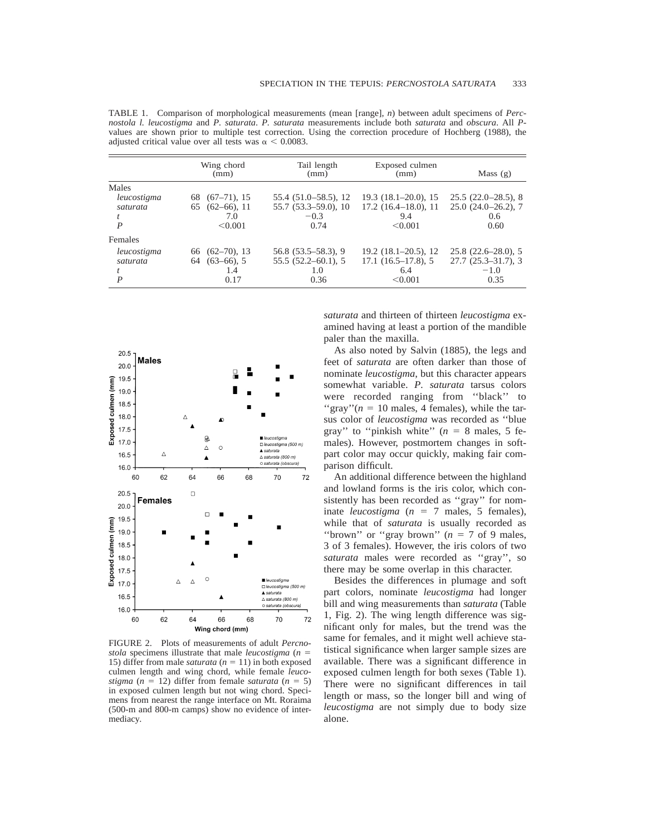TABLE 1. Comparison of morphological measurements (mean [range], *n*) between adult specimens of *Percnostola l. leucostigma* and *P. saturata*. *P. saturata* measurements include both *saturata* and *obscura*. All *P*values are shown prior to multiple test correction. Using the correction procedure of Hochberg (1988), the adjusted critical value over all tests was  $\alpha$  < 0.0083.

|                                       | Wing chord<br>(mm)                                             | Tail length<br>(mm)                                                  | Exposed culmen<br>(mm)                                                    | Mass $(g)$                                                     |
|---------------------------------------|----------------------------------------------------------------|----------------------------------------------------------------------|---------------------------------------------------------------------------|----------------------------------------------------------------|
| Males<br>leucostigma<br>saturata<br>P | $(67-71)$ , 15<br>68<br>$(62-66)$ , 11<br>65<br>7.0<br>< 0.001 | $55.4(51.0 - 58.5), 12$<br>$55.7(53.3 - 59.0), 10$<br>$-0.3$<br>0.74 | $19.3(18.1-20.0), 15$<br>$17.2$ $(16.4–18.0)$ , 11<br>9.4<br>< 0.001      | $25.5(22.0-28.5), 8$<br>$25.0(24.0-26.2), 7$<br>0.6<br>0.60    |
| Females                               |                                                                |                                                                      |                                                                           |                                                                |
| leucostigma<br>saturata<br>P          | $66(62-70), 13$<br>$(63-66)$ , 5<br>64<br>1.4<br>0.17          | $56.8(53.5-58.3), 9$<br>$55.5(52.2 - 60.1), 5$<br>1.0<br>0.36        | $19.2$ $(18.1 - 20.5)$ , 12<br>$17.1$ $(16.5-17.8)$ , 5<br>6.4<br>< 0.001 | $25.8(22.6-28.0), 5$<br>$27.7(25.3-31.7),$ 3<br>$-1.0$<br>0.35 |



FIGURE 2. Plots of measurements of adult *Percnostola* specimens illustrate that male *leucostigma*  $(n = 1)$ 15) differ from male *saturata*  $(n = 11)$  in both exposed culmen length and wing chord, while female *leucostigma* ( $n = 12$ ) differ from female *saturata* ( $n = 5$ ) in exposed culmen length but not wing chord. Specimens from nearest the range interface on Mt. Roraima (500-m and 800-m camps) show no evidence of intermediacy.

*saturata* and thirteen of thirteen *leucostigma* examined having at least a portion of the mandible paler than the maxilla.

As also noted by Salvin (1885), the legs and feet of *saturata* are often darker than those of nominate *leucostigma*, but this character appears somewhat variable. *P. saturata* tarsus colors were recorded ranging from ''black'' to "gray" $(n = 10 \text{ males}, 4 \text{ females})$ , while the tarsus color of *leucostigma* was recorded as ''blue gray" to "pinkish white"  $(n = 8 \text{ males}, 5 \text{fe-}$ males). However, postmortem changes in softpart color may occur quickly, making fair comparison difficult.

An additional difference between the highland and lowland forms is the iris color, which consistently has been recorded as ''gray'' for nominate *leucostigma*  $(n = 7 \text{ males}, 5 \text{ females})$ , while that of *saturata* is usually recorded as "brown" or "gray brown"  $(n = 7$  of 9 males, 3 of 3 females). However, the iris colors of two *saturata* males were recorded as ''gray'', so there may be some overlap in this character.

Besides the differences in plumage and soft part colors, nominate *leucostigma* had longer bill and wing measurements than *saturata* (Table 1, Fig. 2). The wing length difference was significant only for males, but the trend was the same for females, and it might well achieve statistical significance when larger sample sizes are available. There was a significant difference in exposed culmen length for both sexes (Table 1). There were no significant differences in tail length or mass, so the longer bill and wing of *leucostigma* are not simply due to body size alone.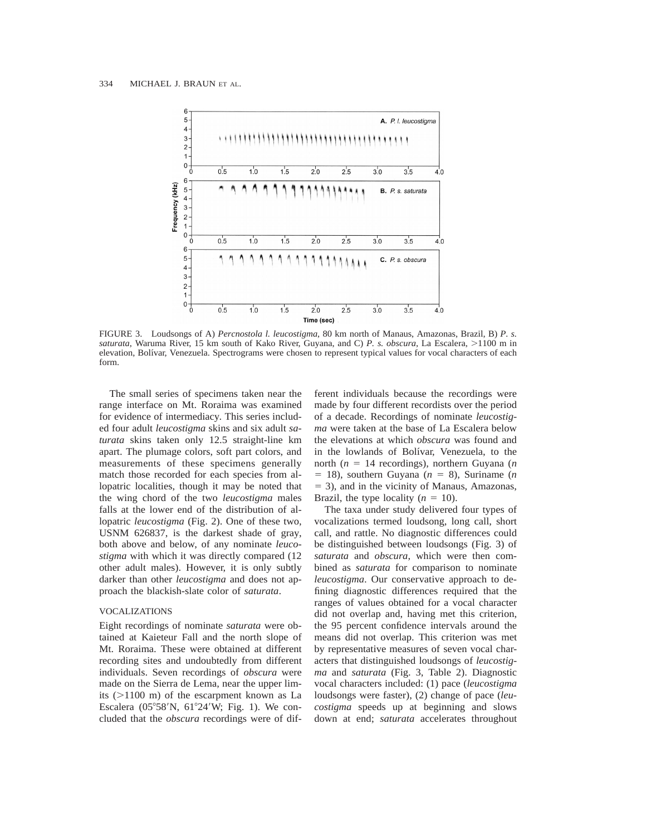

FIGURE 3. Loudsongs of A) *Percnostola l. leucostigma*, 80 km north of Manaus, Amazonas, Brazil, B) *P. s. saturata*, Waruma River, 15 km south of Kako River, Guyana, and C) *P. s. obscura*, La Escalera, >1100 m in elevation, Bolívar, Venezuela. Spectrograms were chosen to represent typical values for vocal characters of each form.

The small series of specimens taken near the range interface on Mt. Roraima was examined for evidence of intermediacy. This series included four adult *leucostigma* skins and six adult *saturata* skins taken only 12.5 straight-line km apart. The plumage colors, soft part colors, and measurements of these specimens generally match those recorded for each species from allopatric localities, though it may be noted that the wing chord of the two *leucostigma* males falls at the lower end of the distribution of allopatric *leucostigma* (Fig. 2). One of these two, USNM 626837, is the darkest shade of gray, both above and below, of any nominate *leucostigma* with which it was directly compared (12 other adult males). However, it is only subtly darker than other *leucostigma* and does not approach the blackish-slate color of *saturata*.

#### VOCALIZATIONS

Eight recordings of nominate *saturata* were obtained at Kaieteur Fall and the north slope of Mt. Roraima. These were obtained at different recording sites and undoubtedly from different individuals. Seven recordings of *obscura* were made on the Sierra de Lema, near the upper limits  $(>1100 \text{ m})$  of the escarpment known as La Escalera ( $05^{\circ}58'N$ ,  $61^{\circ}24'W$ ; Fig. 1). We concluded that the *obscura* recordings were of different individuals because the recordings were made by four different recordists over the period of a decade. Recordings of nominate *leucostigma* were taken at the base of La Escalera below the elevations at which *obscura* was found and in the lowlands of Bolívar, Venezuela, to the north ( $n = 14$  recordings), northern Guyana ( $n$  $= 18$ ), southern Guyana ( $n = 8$ ), Suriname (*n*  $=$  3), and in the vicinity of Manaus, Amazonas, Brazil, the type locality  $(n = 10)$ .

The taxa under study delivered four types of vocalizations termed loudsong, long call, short call, and rattle. No diagnostic differences could be distinguished between loudsongs (Fig. 3) of *saturata* and *obscura*, which were then combined as *saturata* for comparison to nominate *leucostigma*. Our conservative approach to defining diagnostic differences required that the ranges of values obtained for a vocal character did not overlap and, having met this criterion, the 95 percent confidence intervals around the means did not overlap. This criterion was met by representative measures of seven vocal characters that distinguished loudsongs of *leucostigma* and *saturata* (Fig. 3, Table 2). Diagnostic vocal characters included: (1) pace (*leucostigma* loudsongs were faster), (2) change of pace (*leucostigma* speeds up at beginning and slows down at end; *saturata* accelerates throughout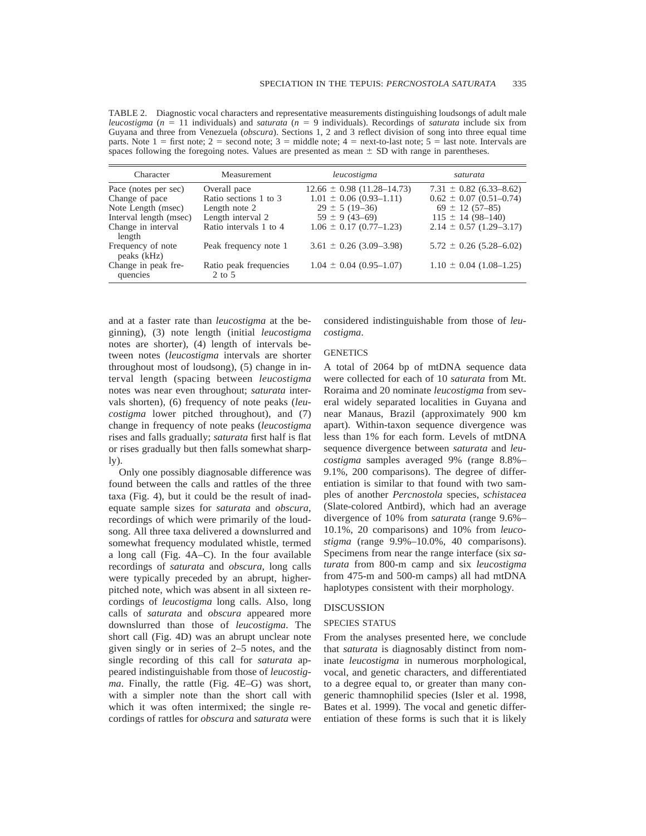TABLE 2. Diagnostic vocal characters and representative measurements distinguishing loudsongs of adult male *leucostigma* ( $n = 11$  individuals) and *saturata* ( $n = 9$  individuals). Recordings of *saturata* include six from Guyana and three from Venezuela (*obscura*). Sections 1, 2 and 3 reflect division of song into three equal time parts. Note  $1 =$  first note;  $2 =$  second note;  $3 =$  middle note;  $4 =$  next-to-last note;  $5 =$  last note. Intervals are spaces following the foregoing notes. Values are presented as mean  $\pm$  SD with range in parentheses.

| Character                                                    | Measurement                                            | leucostigma                                                                           | saturata                                                                            |
|--------------------------------------------------------------|--------------------------------------------------------|---------------------------------------------------------------------------------------|-------------------------------------------------------------------------------------|
| Pace (notes per sec)<br>Change of pace<br>Note Length (msec) | Overall pace<br>Ratio sections 1 to 3<br>Length note 2 | $12.66 \pm 0.98$ (11.28–14.73)<br>$1.01 \pm 0.06$ (0.93–1.11)<br>$29 \pm 5 (19 - 36)$ | $7.31 \pm 0.82$ (6.33–8.62)<br>$0.62 \pm 0.07$ (0.51–0.74)<br>$69 \pm 12 (57 - 85)$ |
| Interval length (msec)<br>Change in interval<br>length       | Length interval 2<br>Ratio intervals 1 to 4            | $59 \pm 9(43 - 69)$<br>$1.06 \pm 0.17 \ (0.77 - 1.23)$                                | $115 \pm 14 (98 - 140)$<br>$2.14 \pm 0.57$ (1.29–3.17)                              |
| Frequency of note<br>peaks (kHz)                             | Peak frequency note 1                                  | $3.61 \pm 0.26$ (3.09–3.98)                                                           | $5.72 \pm 0.26$ (5.28–6.02)                                                         |
| Change in peak fre-<br>quencies                              | Ratio peak frequencies<br>$2$ to $5$                   | $1.04 \pm 0.04$ (0.95-1.07)                                                           | $1.10 \pm 0.04$ (1.08–1.25)                                                         |

and at a faster rate than *leucostigma* at the beginning), (3) note length (initial *leucostigma* notes are shorter), (4) length of intervals between notes (*leucostigma* intervals are shorter throughout most of loudsong), (5) change in interval length (spacing between *leucostigma* notes was near even throughout; *saturata* intervals shorten), (6) frequency of note peaks (*leucostigma* lower pitched throughout), and (7) change in frequency of note peaks (*leucostigma* rises and falls gradually; *saturata* first half is flat or rises gradually but then falls somewhat sharp- $\mathbf{I}(\mathbf{v})$ .

Only one possibly diagnosable difference was found between the calls and rattles of the three taxa (Fig. 4), but it could be the result of inadequate sample sizes for *saturata* and *obscura*, recordings of which were primarily of the loudsong. All three taxa delivered a downslurred and somewhat frequency modulated whistle, termed a long call (Fig. 4A–C). In the four available recordings of *saturata* and *obscura*, long calls were typically preceded by an abrupt, higherpitched note, which was absent in all sixteen recordings of *leucostigma* long calls. Also, long calls of *saturata* and *obscura* appeared more downslurred than those of *leucostigma*. The short call (Fig. 4D) was an abrupt unclear note given singly or in series of 2–5 notes, and the single recording of this call for *saturata* appeared indistinguishable from those of *leucostigma*. Finally, the rattle (Fig. 4E–G) was short, with a simpler note than the short call with which it was often intermixed; the single recordings of rattles for *obscura* and *saturata* were considered indistinguishable from those of *leucostigma*.

#### **GENETICS**

A total of 2064 bp of mtDNA sequence data were collected for each of 10 *saturata* from Mt. Roraima and 20 nominate *leucostigma* from several widely separated localities in Guyana and near Manaus, Brazil (approximately 900 km apart). Within-taxon sequence divergence was less than 1% for each form. Levels of mtDNA sequence divergence between *saturata* and *leucostigma* samples averaged 9% (range 8.8%– 9.1%, 200 comparisons). The degree of differentiation is similar to that found with two samples of another *Percnostola* species, *schistacea* (Slate-colored Antbird), which had an average divergence of 10% from *saturata* (range 9.6%– 10.1%, 20 comparisons) and 10% from *leucostigma* (range 9.9%–10.0%, 40 comparisons). Specimens from near the range interface (six *saturata* from 800-m camp and six *leucostigma* from 475-m and 500-m camps) all had mtDNA haplotypes consistent with their morphology.

## DISCUSSION

#### SPECIES STATUS

From the analyses presented here, we conclude that *saturata* is diagnosably distinct from nominate *leucostigma* in numerous morphological, vocal, and genetic characters, and differentiated to a degree equal to, or greater than many congeneric thamnophilid species (Isler et al. 1998, Bates et al. 1999). The vocal and genetic differentiation of these forms is such that it is likely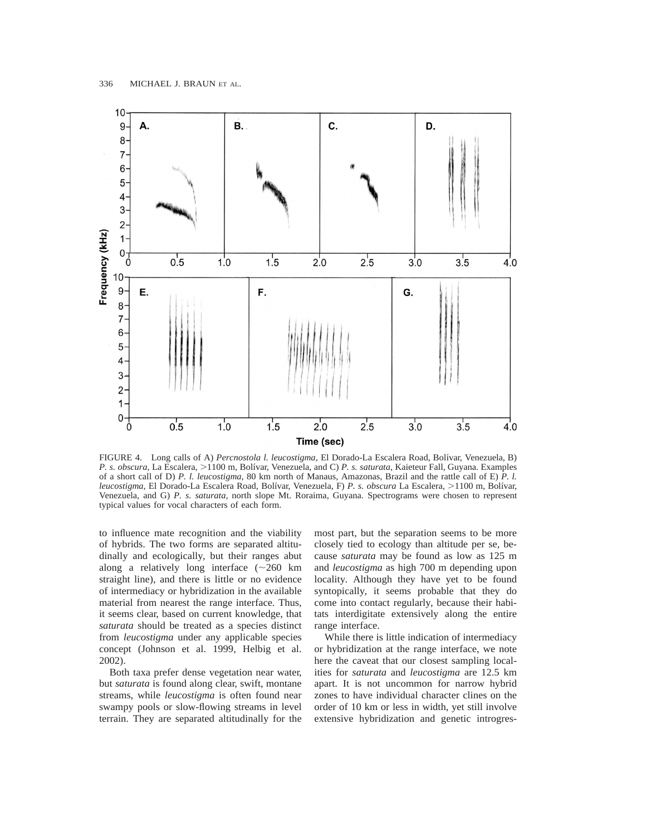

FIGURE 4. Long calls of A) *Percnostola l. leucostigma*, El Dorado-La Escalera Road, Bolı´var, Venezuela, B) *P. s. obscura*, La Escalera,  $>1100$  m, Bolívar, Venezuela, and C) *P. s. saturata*, Kaieteur Fall, Guyana. Examples of a short call of D) *P. l. leucostigma*, 80 km north of Manaus, Amazonas, Brazil and the rattle call of E) *P. l. leucostigma*, El Dorado-La Escalera Road, Bolívar, Venezuela, F) P. s. obscura La Escalera, >1100 m, Bolívar, Venezuela, and G) *P. s. saturata,* north slope Mt. Roraima, Guyana. Spectrograms were chosen to represent typical values for vocal characters of each form.

to influence mate recognition and the viability of hybrids. The two forms are separated altitudinally and ecologically, but their ranges abut along a relatively long interface  $({\sim}260 \text{ km})$ straight line), and there is little or no evidence of intermediacy or hybridization in the available material from nearest the range interface. Thus, it seems clear, based on current knowledge, that *saturata* should be treated as a species distinct from *leucostigma* under any applicable species concept (Johnson et al. 1999, Helbig et al. 2002).

Both taxa prefer dense vegetation near water, but *saturata* is found along clear, swift, montane streams, while *leucostigma* is often found near swampy pools or slow-flowing streams in level terrain. They are separated altitudinally for the most part, but the separation seems to be more closely tied to ecology than altitude per se, because *saturata* may be found as low as 125 m and *leucostigma* as high 700 m depending upon locality. Although they have yet to be found syntopically, it seems probable that they do come into contact regularly, because their habitats interdigitate extensively along the entire range interface.

While there is little indication of intermediacy or hybridization at the range interface, we note here the caveat that our closest sampling localities for *saturata* and *leucostigma* are 12.5 km apart. It is not uncommon for narrow hybrid zones to have individual character clines on the order of 10 km or less in width, yet still involve extensive hybridization and genetic introgres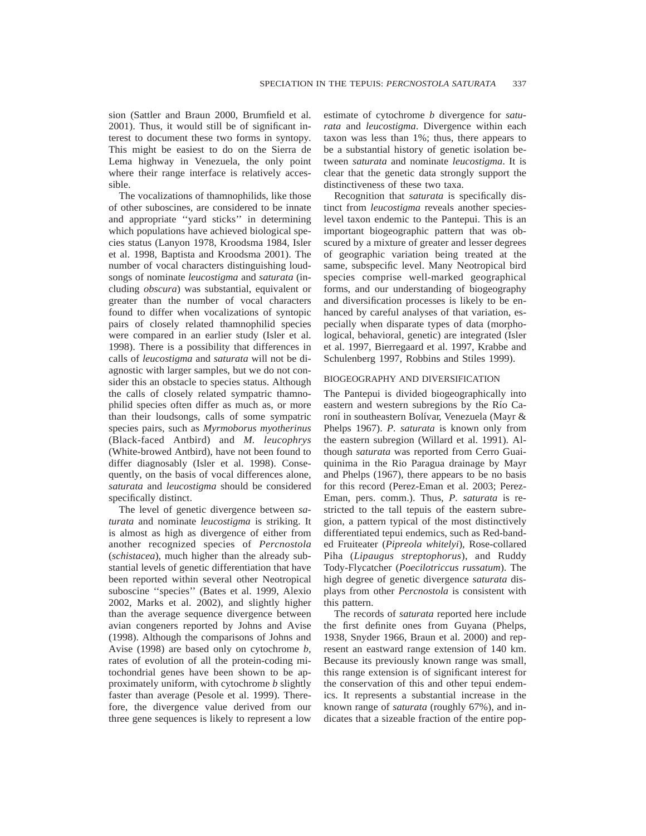sion (Sattler and Braun 2000, Brumfield et al. 2001). Thus, it would still be of significant interest to document these two forms in syntopy. This might be easiest to do on the Sierra de Lema highway in Venezuela, the only point where their range interface is relatively accessible.

The vocalizations of thamnophilids, like those of other suboscines, are considered to be innate and appropriate ''yard sticks'' in determining which populations have achieved biological species status (Lanyon 1978, Kroodsma 1984, Isler et al. 1998, Baptista and Kroodsma 2001). The number of vocal characters distinguishing loudsongs of nominate *leucostigma* and *saturata* (including *obscura*) was substantial, equivalent or greater than the number of vocal characters found to differ when vocalizations of syntopic pairs of closely related thamnophilid species were compared in an earlier study (Isler et al. 1998). There is a possibility that differences in calls of *leucostigma* and *saturata* will not be diagnostic with larger samples, but we do not consider this an obstacle to species status. Although the calls of closely related sympatric thamnophilid species often differ as much as, or more than their loudsongs, calls of some sympatric species pairs, such as *Myrmoborus myotherinus* (Black-faced Antbird) and *M. leucophrys* (White-browed Antbird), have not been found to differ diagnosably (Isler et al. 1998). Consequently, on the basis of vocal differences alone, *saturata* and *leucostigma* should be considered specifically distinct.

The level of genetic divergence between *saturata* and nominate *leucostigma* is striking. It is almost as high as divergence of either from another recognized species of *Percnostola* (*schistacea*), much higher than the already substantial levels of genetic differentiation that have been reported within several other Neotropical suboscine ''species'' (Bates et al. 1999, Alexio 2002, Marks et al. 2002), and slightly higher than the average sequence divergence between avian congeners reported by Johns and Avise (1998). Although the comparisons of Johns and Avise (1998) are based only on cytochrome *b,* rates of evolution of all the protein-coding mitochondrial genes have been shown to be approximately uniform, with cytochrome *b* slightly faster than average (Pesole et al. 1999). Therefore, the divergence value derived from our three gene sequences is likely to represent a low

estimate of cytochrome *b* divergence for *saturata* and *leucostigma*. Divergence within each taxon was less than 1%; thus, there appears to be a substantial history of genetic isolation between *saturata* and nominate *leucostigma*. It is clear that the genetic data strongly support the distinctiveness of these two taxa.

Recognition that *saturata* is specifically distinct from *leucostigma* reveals another specieslevel taxon endemic to the Pantepui. This is an important biogeographic pattern that was obscured by a mixture of greater and lesser degrees of geographic variation being treated at the same, subspecific level. Many Neotropical bird species comprise well-marked geographical forms, and our understanding of biogeography and diversification processes is likely to be enhanced by careful analyses of that variation, especially when disparate types of data (morphological, behavioral, genetic) are integrated (Isler et al. 1997, Bierregaard et al. 1997, Krabbe and Schulenberg 1997, Robbins and Stiles 1999).

#### BIOGEOGRAPHY AND DIVERSIFICATION

The Pantepui is divided biogeographically into eastern and western subregions by the Río Caroní in southeastern Bolívar, Venezuela (Mayr & Phelps 1967). *P. saturata* is known only from the eastern subregion (Willard et al. 1991). Although *saturata* was reported from Cerro Guaiquinima in the Rio Paragua drainage by Mayr and Phelps (1967), there appears to be no basis for this record (Perez-Eman et al. 2003; Perez-Eman, pers. comm.). Thus, *P. saturata* is restricted to the tall tepuis of the eastern subregion, a pattern typical of the most distinctively differentiated tepui endemics, such as Red-banded Fruiteater (*Pipreola whitelyi*), Rose-collared Piha (*Lipaugus streptophorus*), and Ruddy Tody-Flycatcher (*Poecilotriccus russatum*). The high degree of genetic divergence *saturata* displays from other *Percnostola* is consistent with this pattern.

The records of *saturata* reported here include the first definite ones from Guyana (Phelps, 1938, Snyder 1966, Braun et al. 2000) and represent an eastward range extension of 140 km. Because its previously known range was small, this range extension is of significant interest for the conservation of this and other tepui endemics. It represents a substantial increase in the known range of *saturata* (roughly 67%), and indicates that a sizeable fraction of the entire pop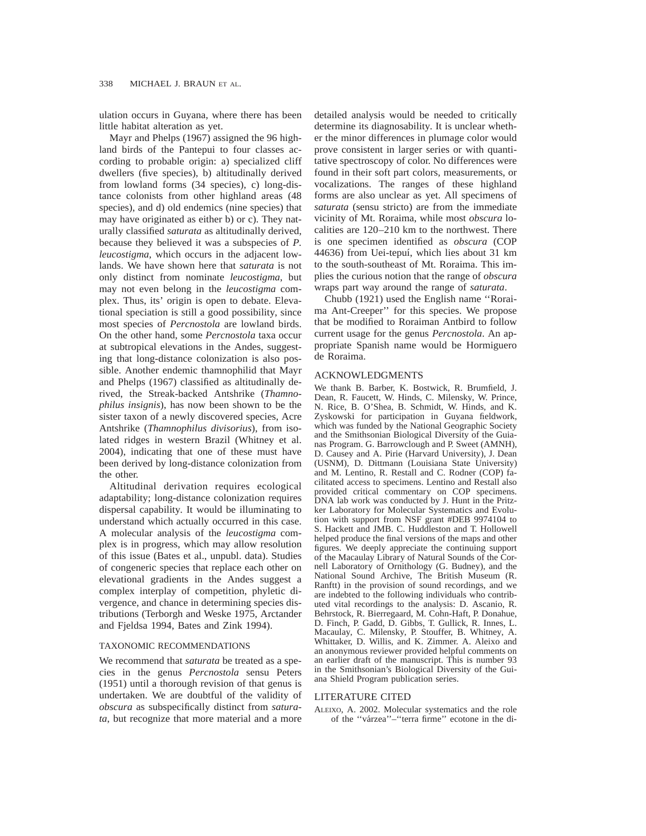ulation occurs in Guyana, where there has been little habitat alteration as yet.

Mayr and Phelps (1967) assigned the 96 highland birds of the Pantepui to four classes according to probable origin: a) specialized cliff dwellers (five species), b) altitudinally derived from lowland forms (34 species), c) long-distance colonists from other highland areas (48 species), and d) old endemics (nine species) that may have originated as either b) or c). They naturally classified *saturata* as altitudinally derived, because they believed it was a subspecies of *P. leucostigma*, which occurs in the adjacent lowlands. We have shown here that *saturata* is not only distinct from nominate *leucostigma*, but may not even belong in the *leucostigma* complex. Thus, its' origin is open to debate. Elevational speciation is still a good possibility, since most species of *Percnostola* are lowland birds. On the other hand, some *Percnostola* taxa occur at subtropical elevations in the Andes, suggesting that long-distance colonization is also possible. Another endemic thamnophilid that Mayr and Phelps (1967) classified as altitudinally derived, the Streak-backed Antshrike (*Thamnophilus insignis*), has now been shown to be the sister taxon of a newly discovered species, Acre Antshrike (*Thamnophilus divisorius*), from isolated ridges in western Brazil (Whitney et al. 2004), indicating that one of these must have been derived by long-distance colonization from the other.

Altitudinal derivation requires ecological adaptability; long-distance colonization requires dispersal capability. It would be illuminating to understand which actually occurred in this case. A molecular analysis of the *leucostigma* complex is in progress, which may allow resolution of this issue (Bates et al., unpubl. data). Studies of congeneric species that replace each other on elevational gradients in the Andes suggest a complex interplay of competition, phyletic divergence, and chance in determining species distributions (Terborgh and Weske 1975, Arctander and Fjeldsa 1994, Bates and Zink 1994).

## TAXONOMIC RECOMMENDATIONS

We recommend that *saturata* be treated as a species in the genus *Percnostola* sensu Peters (1951) until a thorough revision of that genus is undertaken. We are doubtful of the validity of *obscura* as subspecifically distinct from *saturata*, but recognize that more material and a more detailed analysis would be needed to critically determine its diagnosability. It is unclear whether the minor differences in plumage color would prove consistent in larger series or with quantitative spectroscopy of color. No differences were found in their soft part colors, measurements, or vocalizations. The ranges of these highland forms are also unclear as yet. All specimens of *saturata* (sensu stricto) are from the immediate vicinity of Mt. Roraima, while most *obscura* localities are 120–210 km to the northwest. There is one specimen identified as *obscura* (COP 44636) from Uei-tepuı´, which lies about 31 km to the south-southeast of Mt. Roraima. This implies the curious notion that the range of *obscura* wraps part way around the range of *saturata*.

Chubb (1921) used the English name ''Roraima Ant-Creeper'' for this species. We propose that be modified to Roraiman Antbird to follow current usage for the genus *Percnostola*. An appropriate Spanish name would be Hormiguero de Roraima.

### ACKNOWLEDGMENTS

We thank B. Barber, K. Bostwick, R. Brumfield, J. Dean, R. Faucett, W. Hinds, C. Milensky, W. Prince, N. Rice, B. O'Shea, B. Schmidt, W. Hinds, and K. Zyskowski for participation in Guyana fieldwork, which was funded by the National Geographic Society and the Smithsonian Biological Diversity of the Guianas Program. G. Barrowclough and P. Sweet (AMNH), D. Causey and A. Pirie (Harvard University), J. Dean (USNM), D. Dittmann (Louisiana State University) and M. Lentino, R. Restall and C. Rodner (COP) facilitated access to specimens. Lentino and Restall also provided critical commentary on COP specimens. DNA lab work was conducted by J. Hunt in the Pritzker Laboratory for Molecular Systematics and Evolution with support from NSF grant #DEB 9974104 to S. Hackett and JMB. C. Huddleston and T. Hollowell helped produce the final versions of the maps and other figures. We deeply appreciate the continuing support of the Macaulay Library of Natural Sounds of the Cornell Laboratory of Ornithology (G. Budney), and the National Sound Archive, The British Museum (R. Ranftt) in the provision of sound recordings, and we are indebted to the following individuals who contributed vital recordings to the analysis: D. Ascanio, R. Behrstock, R. Bierregaard, M. Cohn-Haft, P. Donahue, D. Finch, P. Gadd, D. Gibbs, T. Gullick, R. Innes, L. Macaulay, C. Milensky, P. Stouffer, B. Whitney, A. Whittaker, D. Willis, and K. Zimmer. A. Aleixo and an anonymous reviewer provided helpful comments on an earlier draft of the manuscript. This is number 93 in the Smithsonian's Biological Diversity of the Guiana Shield Program publication series.

## LITERATURE CITED

ALEIXO, A. 2002. Molecular systematics and the role of the ''va´rzea''–''terra firme'' ecotone in the di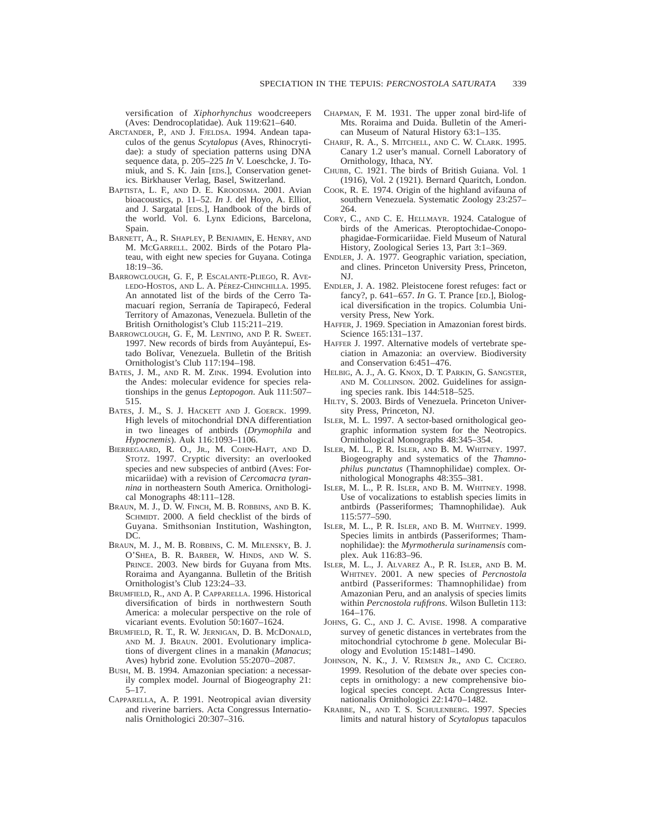versification of *Xiphorhynchus* woodcreepers (Aves: Dendrocoplatidae). Auk 119:621–640.

- ARCTANDER, P., AND J. FJELDSA. 1994. Andean tapaculos of the genus *Scytalopus* (Aves, Rhinocrytidae): a study of speciation patterns using DNA sequence data, p. 205–225 *In* V. Loeschcke, J. Tomiuk, and S. K. Jain [EDS.], Conservation genetics. Birkhauser Verlag, Basel, Switzerland.
- BAPTISTA, L. F., AND D. E. KROODSMA. 2001. Avian bioacoustics, p. 11–52. *In* J. del Hoyo, A. Elliot, and J. Sargatal [EDS.], Handbook of the birds of the world. Vol. 6. Lynx Edicions, Barcelona, Spain.
- BARNETT, A., R. SHAPLEY, P. BENJAMIN, E. HENRY, AND M. MCGARRELL. 2002. Birds of the Potaro Plateau, with eight new species for Guyana. Cotinga 18:19–36.
- BARROWCLOUGH, G. F., P. ESCALANTE-PLIEGO, R. AVE-LEDO-HOSTOS, AND L. A. PÉREZ-CHINCHILLA. 1995. An annotated list of the birds of the Cerro Tamacuarí region, Serranía de Tapirapecó, Federal Territory of Amazonas, Venezuela. Bulletin of the British Ornithologist's Club 115:211–219.
- BARROWCLOUGH, G. F., M. LENTINO, AND P. R. SWEET. 1997. New records of birds from Auyántepuí, Estado Bolívar, Venezuela. Bulletin of the British Ornithologist's Club 117:194–198.
- BATES, J. M., AND R. M. ZINK. 1994. Evolution into the Andes: molecular evidence for species relationships in the genus *Leptopogon*. Auk 111:507– 515.
- BATES, J. M., S. J. HACKETT AND J. GOERCK. 1999. High levels of mitochondrial DNA differentiation in two lineages of antbirds (*Drymophila* and *Hypocnemis*). Auk 116:1093–1106.
- BIERREGAARD, R. O., JR., M. COHN-HAFT, AND D. STOTZ. 1997. Cryptic diversity: an overlooked species and new subspecies of antbird (Aves: Formicariidae) with a revision of *Cercomacra tyrannina* in northeastern South America. Ornithological Monographs 48:111–128.
- BRAUN, M. J., D. W. FINCH, M. B. ROBBINS, AND B. K. SCHMIDT. 2000. A field checklist of the birds of Guyana. Smithsonian Institution, Washington, DC.
- BRAUN, M. J., M. B. ROBBINS, C. M. MILENSKY, B. J. O'SHEA, B. R. BARBER, W. HINDS, AND W. S. PRINCE. 2003. New birds for Guyana from Mts. Roraima and Ayanganna. Bulletin of the British Ornithologist's Club 123:24–33.
- BRUMFIELD, R., AND A. P. CAPPARELLA. 1996. Historical diversification of birds in northwestern South America: a molecular perspective on the role of vicariant events. Evolution 50:1607–1624.
- BRUMFIELD, R. T., R. W. JERNIGAN, D. B. MCDONALD, AND M. J. BRAUN. 2001. Evolutionary implications of divergent clines in a manakin (*Manacus*; Aves) hybrid zone. Evolution 55:2070–2087.
- BUSH, M. B. 1994. Amazonian speciation: a necessarily complex model. Journal of Biogeography 21: 5–17.
- CAPPARELLA, A. P. 1991. Neotropical avian diversity and riverine barriers. Acta Congressus Internationalis Ornithologici 20:307–316.
- CHAPMAN, F. M. 1931. The upper zonal bird-life of Mts. Roraima and Duida. Bulletin of the American Museum of Natural History 63:1–135.
- CHARIF, R. A., S. MITCHELL, AND C. W. CLARK. 1995. Canary 1.2 user's manual. Cornell Laboratory of Ornithology, Ithaca, NY.
- CHUBB, C. 1921. The birds of British Guiana. Vol. 1 (1916), Vol. 2 (1921). Bernard Quaritch, London.
- COOK, R. E. 1974. Origin of the highland avifauna of southern Venezuela. Systematic Zoology 23:257– 264.
- CORY, C., AND C. E. HELLMAYR. 1924. Catalogue of birds of the Americas. Pteroptochidae-Conopophagidae-Formicariidae. Field Museum of Natural History, Zoological Series 13, Part 3:1–369.
- ENDLER, J. A. 1977. Geographic variation, speciation, and clines. Princeton University Press, Princeton, NJ.
- ENDLER, J. A. 1982. Pleistocene forest refuges: fact or fancy?, p. 641–657. *In* G. T. Prance [ED.], Biological diversification in the tropics. Columbia University Press, New York.
- HAFFER, J. 1969. Speciation in Amazonian forest birds. Science 165:131–137.
- HAFFER J. 1997. Alternative models of vertebrate speciation in Amazonia: an overview. Biodiversity and Conservation 6:451–476.
- HELBIG, A. J., A. G. KNOX, D. T. PARKIN, G. SANGSTER, AND M. COLLINSON. 2002. Guidelines for assigning species rank. Ibis 144:518–525.
- HILTY, S. 2003. Birds of Venezuela. Princeton University Press, Princeton, NJ.
- ISLER, M. L. 1997. A sector-based ornithological geographic information system for the Neotropics. Ornithological Monographs 48:345–354.
- ISLER, M. L., P. R. ISLER, AND B. M. WHITNEY. 1997. Biogeography and systematics of the *Thamnophilus punctatus* (Thamnophilidae) complex. Ornithological Monographs 48:355–381.
- ISLER, M. L., P. R. ISLER, AND B. M. WHITNEY. 1998. Use of vocalizations to establish species limits in antbirds (Passeriformes; Thamnophilidae). Auk 115:577–590.
- ISLER, M. L., P. R. ISLER, AND B. M. WHITNEY. 1999. Species limits in antbirds (Passeriformes; Thamnophilidae): the *Myrmotherula surinamensis* complex. Auk 116:83–96.
- ISLER, M. L., J. ALVAREZ A., P. R. ISLER, AND B. M. WHITNEY. 2001. A new species of *Percnostola* antbird (Passeriformes: Thamnophilidae) from Amazonian Peru, and an analysis of species limits within *Percnostola rufifrons*. Wilson Bulletin 113: 164–176.
- JOHNS, G. C., AND J. C. AVISE. 1998. A comparative survey of genetic distances in vertebrates from the mitochondrial cytochrome *b* gene. Molecular Biology and Evolution 15:1481–1490.
- JOHNSON, N. K., J. V. REMSEN JR., AND C. CICERO. 1999. Resolution of the debate over species concepts in ornithology: a new comprehensive biological species concept. Acta Congressus Internationalis Ornithologici 22:1470–1482.
- KRABBE, N., AND T. S. SCHULENBERG. 1997. Species limits and natural history of *Scytalopus* tapaculos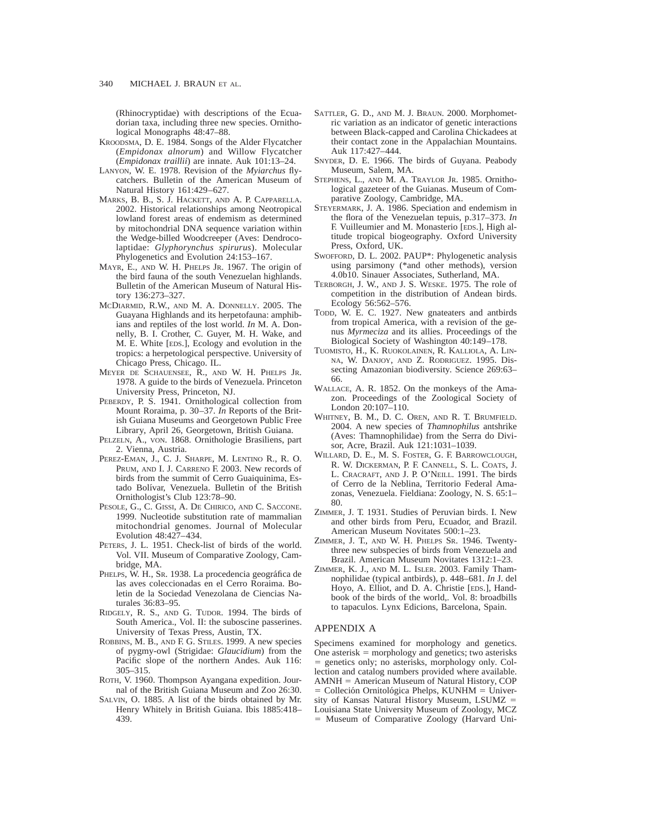(Rhinocryptidae) with descriptions of the Ecuadorian taxa, including three new species. Ornithological Monographs 48:47–88.

- KROODSMA, D. E. 1984. Songs of the Alder Flycatcher (*Empidonax alnorum*) and Willow Flycatcher (*Empidonax traillii*) are innate. Auk 101:13–24.
- LANYON, W. E. 1978. Revision of the *Myiarchus* flycatchers. Bulletin of the American Museum of Natural History 161:429–627.
- MARKS, B. B., S. J. HACKETT, AND A. P. CAPPARELLA. 2002. Historical relationships among Neotropical lowland forest areas of endemism as determined by mitochondrial DNA sequence variation within the Wedge-billed Woodcreeper (Aves: Dendrocolaptidae: *Glyphorynchus spirurus*). Molecular Phylogenetics and Evolution 24:153–167.
- MAYR, E., AND W. H. PHELPS JR. 1967. The origin of the bird fauna of the south Venezuelan highlands. Bulletin of the American Museum of Natural History 136:273–327.
- MCDIARMID, R.W., AND M. A. DONNELLY. 2005. The Guayana Highlands and its herpetofauna: amphibians and reptiles of the lost world. *In* M. A. Donnelly, B. I. Crother, C. Guyer, M. H. Wake, and M. E. White [EDS.], Ecology and evolution in the tropics: a herpetological perspective. University of Chicago Press, Chicago. IL.
- MEYER DE SCHAUENSEE, R., AND W. H. PHELPS JR. 1978. A guide to the birds of Venezuela. Princeton University Press, Princeton, NJ.
- PEBERDY, P. S. 1941. Ornithological collection from Mount Roraima, p. 30–37. *In* Reports of the British Guiana Museums and Georgetown Public Free Library, April 26, Georgetown, British Guiana.
- PELZELN, A., VON. 1868. Ornithologie Brasiliens, part 2. Vienna, Austria.
- PEREZ-EMAN, J., C. J. SHARPE, M. LENTINO R., R. O. PRUM, AND I. J. CARRENO F. 2003. New records of birds from the summit of Cerro Guaiquinima, Estado Bolívar, Venezuela. Bulletin of the British Ornithologist's Club 123:78–90.
- PESOLE, G., C. GISSI, A. DE CHIRICO, AND C. SACCONE. 1999. Nucleotide substitution rate of mammalian mitochondrial genomes. Journal of Molecular Evolution 48:427–434.
- PETERS, J. L. 1951. Check-list of birds of the world. Vol. VII. Museum of Comparative Zoology, Cambridge, MA.
- PHELPS, W. H., Sr. 1938. La procedencia geográfica de las aves coleccionadas en el Cerro Roraima. Boletin de la Sociedad Venezolana de Ciencias Naturales 36:83–95.
- RIDGELY, R. S., AND G. TUDOR. 1994. The birds of South America., Vol. II: the suboscine passerines. University of Texas Press, Austin, TX.
- ROBBINS, M. B., AND F. G. STILES. 1999. A new species of pygmy-owl (Strigidae: *Glaucidium*) from the Pacific slope of the northern Andes. Auk 116: 305–315.
- ROTH, V. 1960. Thompson Ayangana expedition. Journal of the British Guiana Museum and Zoo 26:30.
- SALVIN, O. 1885. A list of the birds obtained by Mr. Henry Whitely in British Guiana. Ibis 1885:418– 439.
- SATTLER, G. D., AND M. J. BRAUN. 2000. Morphometric variation as an indicator of genetic interactions between Black-capped and Carolina Chickadees at their contact zone in the Appalachian Mountains. Auk 117:427–444.
- SNYDER, D. E. 1966. The birds of Guyana. Peabody Museum, Salem, MA.
- STEPHENS, L., AND M. A. TRAYLOR JR. 1985. Ornithological gazeteer of the Guianas. Museum of Comparative Zoology, Cambridge, MA.
- STEYERMARK, J. A. 1986. Speciation and endemism in the flora of the Venezuelan tepuis, p.317–373. *In* F. Vuilleumier and M. Monasterio [EDS.], High altitude tropical biogeography. Oxford University Press, Oxford, UK.
- SWOFFORD, D. L. 2002. PAUP\*: Phylogenetic analysis using parsimony (\*and other methods), version 4.0b10. Sinauer Associates, Sutherland, MA.
- TERBORGH, J. W., AND J. S. WESKE. 1975. The role of competition in the distribution of Andean birds. Ecology 56:562–576.
- TODD, W. E. C. 1927. New gnateaters and antbirds from tropical America, with a revision of the genus *Myrmeciza* and its allies. Proceedings of the Biological Society of Washington 40:149–178.
- TUOMISTO, H., K. RUOKOLAINEN, R. KALLIOLA, A. LIN-NA, W. DANJOY, AND Z. RODRIGUEZ. 1995. Dissecting Amazonian biodiversity. Science 269:63– 66.
- WALLACE, A. R. 1852. On the monkeys of the Amazon. Proceedings of the Zoological Society of London 20:107–110.
- WHITNEY, B. M., D. C. OREN, AND R. T. BRUMFIELD. 2004. A new species of *Thamnophilus* antshrike (Aves: Thamnophilidae) from the Serra do Divisor, Acre, Brazil. Auk 121:1031–1039.
- WILLARD, D. E., M. S. FOSTER, G. F. BARROWCLOUGH, R. W. DICKERMAN, P. F. CANNELL, S. L. COATS, J. L. CRACRAFT, AND J. P. O'NEILL. 1991. The birds of Cerro de la Neblina, Territorio Federal Amazonas, Venezuela. Fieldiana: Zoology, N. S. 65:1– 80.
- ZIMMER, J. T. 1931. Studies of Peruvian birds. I. New and other birds from Peru, Ecuador, and Brazil. American Museum Novitates 500:1–23.
- ZIMMER, J. T., AND W. H. PHELPS SR. 1946. Twentythree new subspecies of birds from Venezuela and Brazil. American Museum Novitates 1312:1–23.
- ZIMMER, K. J., AND M. L. ISLER. 2003. Family Thamnophilidae (typical antbirds), p. 448–681. *In* J. del Hoyo, A. Elliot, and D. A. Christie [EDS.], Handbook of the birds of the world,. Vol. 8: broadbills to tapaculos. Lynx Edicions, Barcelona, Spain.

#### APPENDIX A

Specimens examined for morphology and genetics. One asterisk  $=$  morphology and genetics; two asterisks 5 genetics only; no asterisks, morphology only. Collection and catalog numbers provided where available.  $AMNH =$  American Museum of Natural History, COP  $=$  Colleción Ornitológica Phelps, KUNHM  $=$  University of Kansas Natural History Museum, LSUMZ = Louisiana State University Museum of Zoology, MCZ 5 Museum of Comparative Zoology (Harvard Uni-